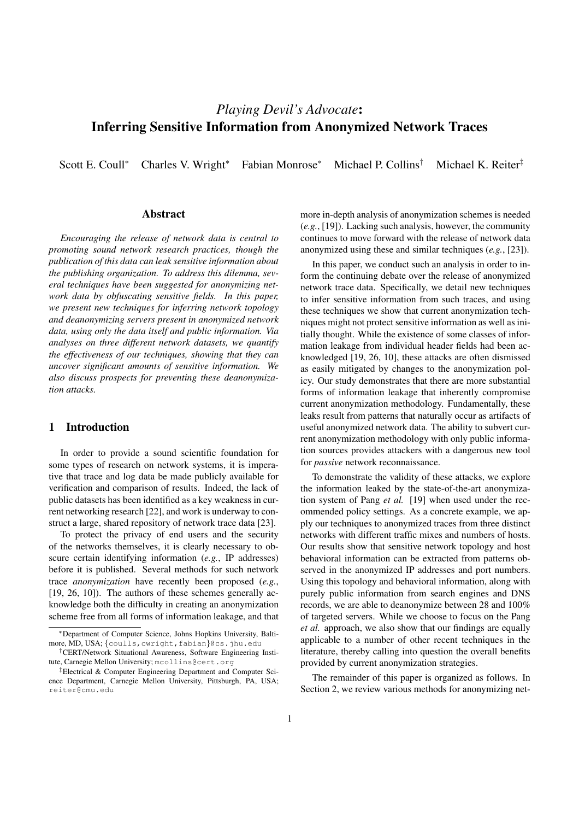# *Playing Devil's Advocate*: Inferring Sensitive Information from Anonymized Network Traces

Scott E. Coull<sup>∗</sup> Charles V. Wright<sup>∗</sup> Fabian Monrose<sup>∗</sup> Michael P. Collins† Michael K. Reiter‡

## Abstract

*Encouraging the release of network data is central to promoting sound network research practices, though the publication of this data can leak sensitive information about the publishing organization. To address this dilemma, several techniques have been suggested for anonymizing network data by obfuscating sensitive fields. In this paper, we present new techniques for inferring network topology and deanonymizing servers present in anonymized network data, using only the data itself and public information. Via analyses on three different network datasets, we quantify the effectiveness of our techniques, showing that they can uncover significant amounts of sensitive information. We also discuss prospects for preventing these deanonymization attacks.*

# 1 Introduction

In order to provide a sound scientific foundation for some types of research on network systems, it is imperative that trace and log data be made publicly available for verification and comparison of results. Indeed, the lack of public datasets has been identified as a key weakness in current networking research [22], and work is underway to construct a large, shared repository of network trace data [23].

To protect the privacy of end users and the security of the networks themselves, it is clearly necessary to obscure certain identifying information (*e.g.*, IP addresses) before it is published. Several methods for such network trace *anonymization* have recently been proposed (*e.g.*, [19, 26, 10]). The authors of these schemes generally acknowledge both the difficulty in creating an anonymization scheme free from all forms of information leakage, and that more in-depth analysis of anonymization schemes is needed (*e.g.*, [19]). Lacking such analysis, however, the community continues to move forward with the release of network data anonymized using these and similar techniques (*e.g.*, [23]).

In this paper, we conduct such an analysis in order to inform the continuing debate over the release of anonymized network trace data. Specifically, we detail new techniques to infer sensitive information from such traces, and using these techniques we show that current anonymization techniques might not protect sensitive information as well as initially thought. While the existence of some classes of information leakage from individual header fields had been acknowledged [19, 26, 10], these attacks are often dismissed as easily mitigated by changes to the anonymization policy. Our study demonstrates that there are more substantial forms of information leakage that inherently compromise current anonymization methodology. Fundamentally, these leaks result from patterns that naturally occur as artifacts of useful anonymized network data. The ability to subvert current anonymization methodology with only public information sources provides attackers with a dangerous new tool for *passive* network reconnaissance.

To demonstrate the validity of these attacks, we explore the information leaked by the state-of-the-art anonymization system of Pang *et al.* [19] when used under the recommended policy settings. As a concrete example, we apply our techniques to anonymized traces from three distinct networks with different traffic mixes and numbers of hosts. Our results show that sensitive network topology and host behavioral information can be extracted from patterns observed in the anonymized IP addresses and port numbers. Using this topology and behavioral information, along with purely public information from search engines and DNS records, we are able to deanonymize between 28 and 100% of targeted servers. While we choose to focus on the Pang *et al.* approach, we also show that our findings are equally applicable to a number of other recent techniques in the literature, thereby calling into question the overall benefits provided by current anonymization strategies.

The remainder of this paper is organized as follows. In Section 2, we review various methods for anonymizing net-

<sup>∗</sup>Department of Computer Science, Johns Hopkins University, Baltimore, MD, USA; {coulls, cwright, fabian}@cs.jhu.edu

<sup>†</sup>CERT/Network Situational Awareness, Software Engineering Institute, Carnegie Mellon University; mcollins@cert.org

<sup>‡</sup>Electrical & Computer Engineering Department and Computer Science Department, Carnegie Mellon University, Pittsburgh, PA, USA; reiter@cmu.edu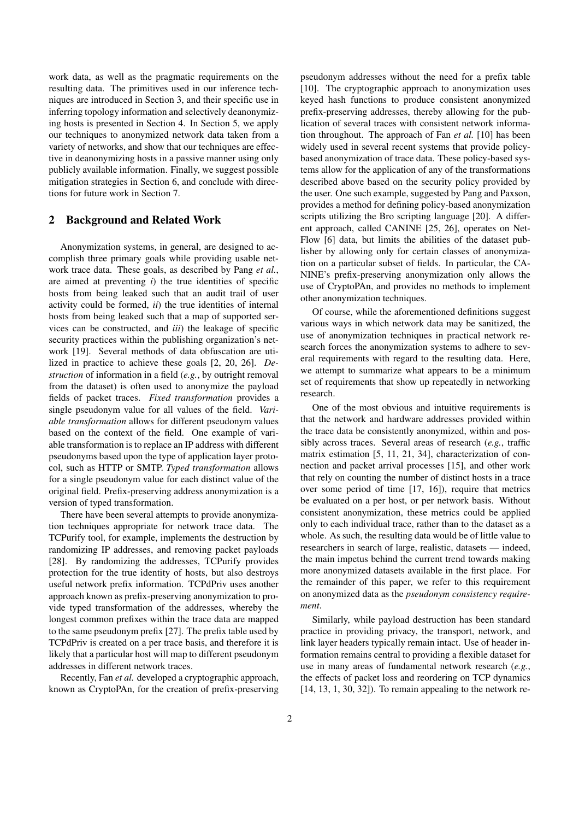work data, as well as the pragmatic requirements on the resulting data. The primitives used in our inference techniques are introduced in Section 3, and their specific use in inferring topology information and selectively deanonymizing hosts is presented in Section 4. In Section 5, we apply our techniques to anonymized network data taken from a variety of networks, and show that our techniques are effective in deanonymizing hosts in a passive manner using only publicly available information. Finally, we suggest possible mitigation strategies in Section 6, and conclude with directions for future work in Section 7.

# 2 Background and Related Work

Anonymization systems, in general, are designed to accomplish three primary goals while providing usable network trace data. These goals, as described by Pang *et al.*, are aimed at preventing *i*) the true identities of specific hosts from being leaked such that an audit trail of user activity could be formed, *ii*) the true identities of internal hosts from being leaked such that a map of supported services can be constructed, and *iii*) the leakage of specific security practices within the publishing organization's network [19]. Several methods of data obfuscation are utilized in practice to achieve these goals [2, 20, 26]. *Destruction* of information in a field (*e.g.*, by outright removal from the dataset) is often used to anonymize the payload fields of packet traces. *Fixed transformation* provides a single pseudonym value for all values of the field. *Variable transformation* allows for different pseudonym values based on the context of the field. One example of variable transformation is to replace an IP address with different pseudonyms based upon the type of application layer protocol, such as HTTP or SMTP. *Typed transformation* allows for a single pseudonym value for each distinct value of the original field. Prefix-preserving address anonymization is a version of typed transformation.

There have been several attempts to provide anonymization techniques appropriate for network trace data. The TCPurify tool, for example, implements the destruction by randomizing IP addresses, and removing packet payloads [28]. By randomizing the addresses, TCPurify provides protection for the true identity of hosts, but also destroys useful network prefix information. TCPdPriv uses another approach known as prefix-preserving anonymization to provide typed transformation of the addresses, whereby the longest common prefixes within the trace data are mapped to the same pseudonym prefix [27]. The prefix table used by TCPdPriv is created on a per trace basis, and therefore it is likely that a particular host will map to different pseudonym addresses in different network traces.

Recently, Fan *et al.* developed a cryptographic approach, known as CryptoPAn, for the creation of prefix-preserving pseudonym addresses without the need for a prefix table [10]. The cryptographic approach to anonymization uses keyed hash functions to produce consistent anonymized prefix-preserving addresses, thereby allowing for the publication of several traces with consistent network information throughout. The approach of Fan *et al.* [10] has been widely used in several recent systems that provide policybased anonymization of trace data. These policy-based systems allow for the application of any of the transformations described above based on the security policy provided by the user. One such example, suggested by Pang and Paxson, provides a method for defining policy-based anonymization scripts utilizing the Bro scripting language [20]. A different approach, called CANINE [25, 26], operates on Net-Flow [6] data, but limits the abilities of the dataset publisher by allowing only for certain classes of anonymization on a particular subset of fields. In particular, the CA-NINE's prefix-preserving anonymization only allows the use of CryptoPAn, and provides no methods to implement other anonymization techniques.

Of course, while the aforementioned definitions suggest various ways in which network data may be sanitized, the use of anonymization techniques in practical network research forces the anonymization systems to adhere to several requirements with regard to the resulting data. Here, we attempt to summarize what appears to be a minimum set of requirements that show up repeatedly in networking research.

One of the most obvious and intuitive requirements is that the network and hardware addresses provided within the trace data be consistently anonymized, within and possibly across traces. Several areas of research (*e.g.*, traffic matrix estimation [5, 11, 21, 34], characterization of connection and packet arrival processes [15], and other work that rely on counting the number of distinct hosts in a trace over some period of time [17, 16]), require that metrics be evaluated on a per host, or per network basis. Without consistent anonymization, these metrics could be applied only to each individual trace, rather than to the dataset as a whole. As such, the resulting data would be of little value to researchers in search of large, realistic, datasets — indeed, the main impetus behind the current trend towards making more anonymized datasets available in the first place. For the remainder of this paper, we refer to this requirement on anonymized data as the *pseudonym consistency requirement*.

Similarly, while payload destruction has been standard practice in providing privacy, the transport, network, and link layer headers typically remain intact. Use of header information remains central to providing a flexible dataset for use in many areas of fundamental network research (*e.g.*, the effects of packet loss and reordering on TCP dynamics [14, 13, 1, 30, 32]). To remain appealing to the network re-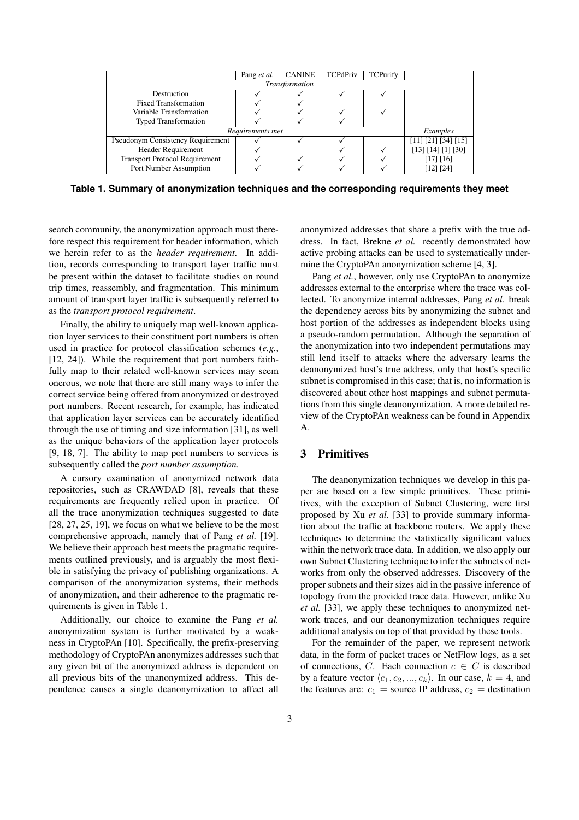|                                          | Pang <i>et al.</i> | <b>CANINE</b> | <b>TCPdPriv</b> | TCPurify |                                  |
|------------------------------------------|--------------------|---------------|-----------------|----------|----------------------------------|
| Transformation                           |                    |               |                 |          |                                  |
| Destruction                              |                    |               |                 |          |                                  |
| <b>Fixed Transformation</b>              |                    |               |                 |          |                                  |
| Variable Transformation                  |                    |               |                 |          |                                  |
| <b>Typed Transformation</b>              |                    |               |                 |          |                                  |
| Requirements met                         | Examples           |               |                 |          |                                  |
| <b>Pseudonym Consistency Requirement</b> |                    |               |                 |          | $[11] [21] [34] \overline{[15]}$ |
| <b>Header Requirement</b>                |                    |               |                 |          | [13] [14] [1] [30]               |
| <b>Transport Protocol Requirement</b>    |                    |               |                 |          | $[17]$ $[16]$                    |
| Port Number Assumption                   |                    |               |                 |          | [12] [24]                        |

**Table 1. Summary of anonymization techniques and the corresponding requirements they meet**

search community, the anonymization approach must therefore respect this requirement for header information, which we herein refer to as the *header requirement*. In addition, records corresponding to transport layer traffic must be present within the dataset to facilitate studies on round trip times, reassembly, and fragmentation. This minimum amount of transport layer traffic is subsequently referred to as the *transport protocol requirement*.

Finally, the ability to uniquely map well-known application layer services to their constituent port numbers is often used in practice for protocol classification schemes (*e.g.*, [12, 24]). While the requirement that port numbers faithfully map to their related well-known services may seem onerous, we note that there are still many ways to infer the correct service being offered from anonymized or destroyed port numbers. Recent research, for example, has indicated that application layer services can be accurately identified through the use of timing and size information [31], as well as the unique behaviors of the application layer protocols [9, 18, 7]. The ability to map port numbers to services is subsequently called the *port number assumption*.

A cursory examination of anonymized network data repositories, such as CRAWDAD [8], reveals that these requirements are frequently relied upon in practice. Of all the trace anonymization techniques suggested to date [28, 27, 25, 19], we focus on what we believe to be the most comprehensive approach, namely that of Pang *et al.* [19]. We believe their approach best meets the pragmatic requirements outlined previously, and is arguably the most flexible in satisfying the privacy of publishing organizations. A comparison of the anonymization systems, their methods of anonymization, and their adherence to the pragmatic requirements is given in Table 1.

Additionally, our choice to examine the Pang *et al.* anonymization system is further motivated by a weakness in CryptoPAn [10]. Specifically, the prefix-preserving methodology of CryptoPAn anonymizes addresses such that any given bit of the anonymized address is dependent on all previous bits of the unanonymized address. This dependence causes a single deanonymization to affect all anonymized addresses that share a prefix with the true address. In fact, Brekne *et al.* recently demonstrated how active probing attacks can be used to systematically undermine the CryptoPAn anonymization scheme [4, 3].

Pang *et al.*, however, only use CryptoPAn to anonymize addresses external to the enterprise where the trace was collected. To anonymize internal addresses, Pang *et al.* break the dependency across bits by anonymizing the subnet and host portion of the addresses as independent blocks using a pseudo-random permutation. Although the separation of the anonymization into two independent permutations may still lend itself to attacks where the adversary learns the deanonymized host's true address, only that host's specific subnet is compromised in this case; that is, no information is discovered about other host mappings and subnet permutations from this single deanonymization. A more detailed review of the CryptoPAn weakness can be found in Appendix A.

# 3 Primitives

The deanonymization techniques we develop in this paper are based on a few simple primitives. These primitives, with the exception of Subnet Clustering, were first proposed by Xu *et al.* [33] to provide summary information about the traffic at backbone routers. We apply these techniques to determine the statistically significant values within the network trace data. In addition, we also apply our own Subnet Clustering technique to infer the subnets of networks from only the observed addresses. Discovery of the proper subnets and their sizes aid in the passive inference of topology from the provided trace data. However, unlike Xu *et al.* [33], we apply these techniques to anonymized network traces, and our deanonymization techniques require additional analysis on top of that provided by these tools.

For the remainder of the paper, we represent network data, in the form of packet traces or NetFlow logs, as a set of connections, C. Each connection  $c \in C$  is described by a feature vector  $\langle c_1, c_2, ..., c_k \rangle$ . In our case,  $k = 4$ , and the features are:  $c_1$  = source IP address,  $c_2$  = destination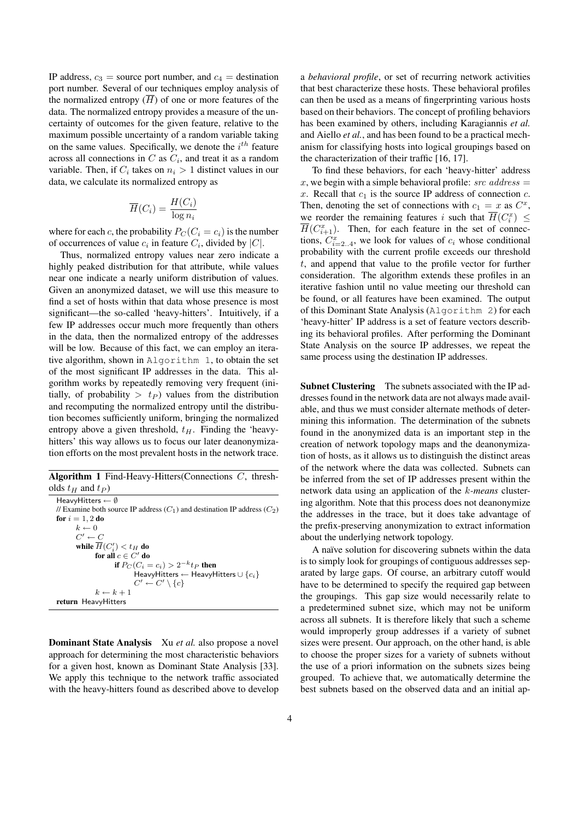IP address,  $c_3$  = source port number, and  $c_4$  = destination port number. Several of our techniques employ analysis of the normalized entropy  $(\overline{H})$  of one or more features of the data. The normalized entropy provides a measure of the uncertainty of outcomes for the given feature, relative to the maximum possible uncertainty of a random variable taking on the same values. Specifically, we denote the  $i^{th}$  feature across all connections in C as  $C_i$ , and treat it as a random variable. Then, if  $C_i$  takes on  $n_i > 1$  distinct values in our data, we calculate its normalized entropy as

$$
\overline{H}(C_i) = \frac{H(C_i)}{\log n_i}
$$

where for each c, the probability  $P_C (C_i = c_i)$  is the number of occurrences of value  $c_i$  in feature  $C_i$ , divided by  $|C|$ .

Thus, normalized entropy values near zero indicate a highly peaked distribution for that attribute, while values near one indicate a nearly uniform distribution of values. Given an anonymized dataset, we will use this measure to find a set of hosts within that data whose presence is most significant—the so-called 'heavy-hitters'. Intuitively, if a few IP addresses occur much more frequently than others in the data, then the normalized entropy of the addresses will be low. Because of this fact, we can employ an iterative algorithm, shown in Algorithm 1, to obtain the set of the most significant IP addresses in the data. This algorithm works by repeatedly removing very frequent (initially, of probability  $> t<sub>P</sub>$  ) values from the distribution and recomputing the normalized entropy until the distribution becomes sufficiently uniform, bringing the normalized entropy above a given threshold,  $t_H$ . Finding the 'heavyhitters' this way allows us to focus our later deanonymization efforts on the most prevalent hosts in the network trace.

|                        | <b>Algorithm 1</b> Find-Heavy-Hitters (Connections $C$ , thresh- |  |
|------------------------|------------------------------------------------------------------|--|
| olds $t_H$ and $t_P$ ) |                                                                  |  |

HeavyHitters ← ∅ // Examine both source IP address  $(C_1)$  and destination IP address  $(C_2)$ for  $i = 1, 2$  do  $k \leftarrow 0$  $C' \leftarrow C$ while  $\overline{H}(C_i') < t_H$  do for all  $c \in C'$  do if  $P_C (C_i = c_i) > 2^{-k} t_P$  then HeavyHitters ← HeavyHitters  $\cup$   $\{c_i\}$  $C' \leftarrow C' \setminus \{c\}$  $k \leftarrow k + 1$ return HeavyHitters

Dominant State Analysis Xu *et al.* also propose a novel approach for determining the most characteristic behaviors for a given host, known as Dominant State Analysis [33]. We apply this technique to the network traffic associated with the heavy-hitters found as described above to develop a *behavioral profile*, or set of recurring network activities that best characterize these hosts. These behavioral profiles can then be used as a means of fingerprinting various hosts based on their behaviors. The concept of profiling behaviors has been examined by others, including Karagiannis *et al.* and Aiello *et al.*, and has been found to be a practical mechanism for classifying hosts into logical groupings based on the characterization of their traffic [16, 17].

To find these behaviors, for each 'heavy-hitter' address x, we begin with a simple behavioral profile:  $src$  address  $=$ x. Recall that  $c_1$  is the source IP address of connection c. Then, denoting the set of connections with  $c_1 = x$  as  $C^x$ , we reorder the remaining features i such that  $\overline{H}(C_i^x) \leq$  $\overline{H}(C_{i+1}^x)$ . Then, for each feature in the set of connections,  $C_{i=2..4}^{x}$ , we look for values of  $c_i$  whose conditional probability with the current profile exceeds our threshold t, and append that value to the profile vector for further consideration. The algorithm extends these profiles in an iterative fashion until no value meeting our threshold can be found, or all features have been examined. The output of this Dominant State Analysis (Algorithm 2) for each 'heavy-hitter' IP address is a set of feature vectors describing its behavioral profiles. After performing the Dominant State Analysis on the source IP addresses, we repeat the same process using the destination IP addresses.

Subnet Clustering The subnets associated with the IP addresses found in the network data are not always made available, and thus we must consider alternate methods of determining this information. The determination of the subnets found in the anonymized data is an important step in the creation of network topology maps and the deanonymization of hosts, as it allows us to distinguish the distinct areas of the network where the data was collected. Subnets can be inferred from the set of IP addresses present within the network data using an application of the k*-means* clustering algorithm. Note that this process does not deanonymize the addresses in the trace, but it does take advantage of the prefix-preserving anonymization to extract information about the underlying network topology.

A naïve solution for discovering subnets within the data is to simply look for groupings of contiguous addresses separated by large gaps. Of course, an arbitrary cutoff would have to be determined to specify the required gap between the groupings. This gap size would necessarily relate to a predetermined subnet size, which may not be uniform across all subnets. It is therefore likely that such a scheme would improperly group addresses if a variety of subnet sizes were present. Our approach, on the other hand, is able to choose the proper sizes for a variety of subnets without the use of a priori information on the subnets sizes being grouped. To achieve that, we automatically determine the best subnets based on the observed data and an initial ap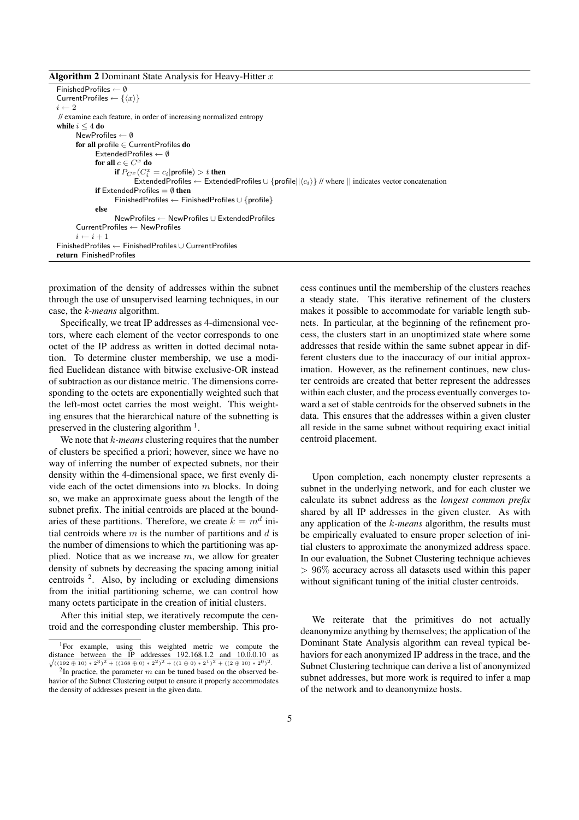**Algorithm 2** Dominant State Analysis for Heavy-Hitter  $x$ 

FinishedProfiles ← ∅ CurrentProfiles  $\leftarrow \{\langle x \rangle\}$  $i \leftarrow 2$ // examine each feature, in order of increasing normalized entropy while  $i \leq 4$  do NewProfiles ← ∅ for all profile ∈ CurrentProfiles do ExtendedProfiles  $\leftarrow \emptyset$ for all  $c\in C^x$  do if  $P_{C^x}(C^x_i = c_i | \text{profile}) > t$  then ExtendedProfiles ← ExtendedProfiles  $\cup$  {profile|| $\langle c_i \rangle$ } // where || indicates vector concatenation if ExtendedProfiles  $=$   $\emptyset$  then FinishedProfiles ← FinishedProfiles ∪ {profile} else NewProfiles ← NewProfiles ∪ ExtendedProfiles CurrentProfiles ← NewProfiles  $i \leftarrow i + 1$ FinishedProfiles ← FinishedProfiles ∪ CurrentProfiles return FinishedProfiles

proximation of the density of addresses within the subnet through the use of unsupervised learning techniques, in our case, the *k-means* algorithm.

Specifically, we treat IP addresses as 4-dimensional vectors, where each element of the vector corresponds to one octet of the IP address as written in dotted decimal notation. To determine cluster membership, we use a modified Euclidean distance with bitwise exclusive-OR instead of subtraction as our distance metric. The dimensions corresponding to the octets are exponentially weighted such that the left-most octet carries the most weight. This weighting ensures that the hierarchical nature of the subnetting is preserved in the clustering algorithm  $<sup>1</sup>$ .</sup>

We note that k*-means* clustering requires that the number of clusters be specified a priori; however, since we have no way of inferring the number of expected subnets, nor their density within the 4-dimensional space, we first evenly divide each of the octet dimensions into  $m$  blocks. In doing so, we make an approximate guess about the length of the subnet prefix. The initial centroids are placed at the boundaries of these partitions. Therefore, we create  $k = m<sup>d</sup>$  initial centroids where  $m$  is the number of partitions and  $d$  is the number of dimensions to which the partitioning was applied. Notice that as we increase  $m$ , we allow for greater density of subnets by decreasing the spacing among initial centroids  $2$ . Also, by including or excluding dimensions from the initial partitioning scheme, we can control how many octets participate in the creation of initial clusters.

After this initial step, we iteratively recompute the centroid and the corresponding cluster membership. This process continues until the membership of the clusters reaches a steady state. This iterative refinement of the clusters makes it possible to accommodate for variable length subnets. In particular, at the beginning of the refinement process, the clusters start in an unoptimized state where some addresses that reside within the same subnet appear in different clusters due to the inaccuracy of our initial approximation. However, as the refinement continues, new cluster centroids are created that better represent the addresses within each cluster, and the process eventually converges toward a set of stable centroids for the observed subnets in the data. This ensures that the addresses within a given cluster all reside in the same subnet without requiring exact initial centroid placement.

Upon completion, each nonempty cluster represents a subnet in the underlying network, and for each cluster we calculate its subnet address as the *longest common prefix* shared by all IP addresses in the given cluster. As with any application of the k*-means* algorithm, the results must be empirically evaluated to ensure proper selection of initial clusters to approximate the anonymized address space. In our evaluation, the Subnet Clustering technique achieves  $> 96\%$  accuracy across all datasets used within this paper without significant tuning of the initial cluster centroids.

We reiterate that the primitives do not actually deanonymize anything by themselves; the application of the Dominant State Analysis algorithm can reveal typical behaviors for each anonymized IP address in the trace, and the Subnet Clustering technique can derive a list of anonymized subnet addresses, but more work is required to infer a map of the network and to deanonymize hosts.

<sup>&</sup>lt;sup>1</sup>For example, using this weighted metric we compute the distance between the IP addresses 192.168.1.2 and 10.0.0.10 as  $\sqrt{((192 \oplus 10)*2^3)^2 + ((168 \oplus 0)*2^2)^2 + ((1 \oplus 0)*2^1)^2 + ((2 \oplus 10)*2^0)^2}.$ 

<sup>&</sup>lt;sup>2</sup>In practice, the parameter m can be tuned based on the observed behavior of the Subnet Clustering output to ensure it properly accommodates the density of addresses present in the given data.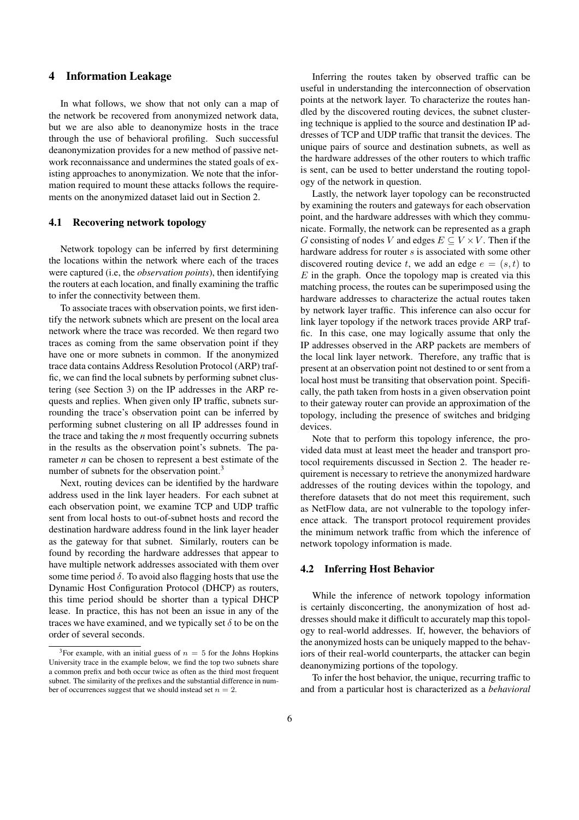# 4 Information Leakage

In what follows, we show that not only can a map of the network be recovered from anonymized network data, but we are also able to deanonymize hosts in the trace through the use of behavioral profiling. Such successful deanonymization provides for a new method of passive network reconnaissance and undermines the stated goals of existing approaches to anonymization. We note that the information required to mount these attacks follows the requirements on the anonymized dataset laid out in Section 2.

## 4.1 Recovering network topology

Network topology can be inferred by first determining the locations within the network where each of the traces were captured (i.e, the *observation points*), then identifying the routers at each location, and finally examining the traffic to infer the connectivity between them.

To associate traces with observation points, we first identify the network subnets which are present on the local area network where the trace was recorded. We then regard two traces as coming from the same observation point if they have one or more subnets in common. If the anonymized trace data contains Address Resolution Protocol (ARP) traffic, we can find the local subnets by performing subnet clustering (see Section 3) on the IP addresses in the ARP requests and replies. When given only IP traffic, subnets surrounding the trace's observation point can be inferred by performing subnet clustering on all IP addresses found in the trace and taking the *n* most frequently occurring subnets in the results as the observation point's subnets. The parameter *n* can be chosen to represent a best estimate of the number of subnets for the observation point.<sup>3</sup>

Next, routing devices can be identified by the hardware address used in the link layer headers. For each subnet at each observation point, we examine TCP and UDP traffic sent from local hosts to out-of-subnet hosts and record the destination hardware address found in the link layer header as the gateway for that subnet. Similarly, routers can be found by recording the hardware addresses that appear to have multiple network addresses associated with them over some time period  $\delta$ . To avoid also flagging hosts that use the Dynamic Host Configuration Protocol (DHCP) as routers, this time period should be shorter than a typical DHCP lease. In practice, this has not been an issue in any of the traces we have examined, and we typically set  $\delta$  to be on the order of several seconds.

Inferring the routes taken by observed traffic can be useful in understanding the interconnection of observation points at the network layer. To characterize the routes handled by the discovered routing devices, the subnet clustering technique is applied to the source and destination IP addresses of TCP and UDP traffic that transit the devices. The unique pairs of source and destination subnets, as well as the hardware addresses of the other routers to which traffic is sent, can be used to better understand the routing topology of the network in question.

Lastly, the network layer topology can be reconstructed by examining the routers and gateways for each observation point, and the hardware addresses with which they communicate. Formally, the network can be represented as a graph G consisting of nodes V and edges  $E \subseteq V \times V$ . Then if the hardware address for router s is associated with some other discovered routing device t, we add an edge  $e = (s, t)$  to  $E$  in the graph. Once the topology map is created via this matching process, the routes can be superimposed using the hardware addresses to characterize the actual routes taken by network layer traffic. This inference can also occur for link layer topology if the network traces provide ARP traffic. In this case, one may logically assume that only the IP addresses observed in the ARP packets are members of the local link layer network. Therefore, any traffic that is present at an observation point not destined to or sent from a local host must be transiting that observation point. Specifically, the path taken from hosts in a given observation point to their gateway router can provide an approximation of the topology, including the presence of switches and bridging devices.

Note that to perform this topology inference, the provided data must at least meet the header and transport protocol requirements discussed in Section 2. The header requirement is necessary to retrieve the anonymized hardware addresses of the routing devices within the topology, and therefore datasets that do not meet this requirement, such as NetFlow data, are not vulnerable to the topology inference attack. The transport protocol requirement provides the minimum network traffic from which the inference of network topology information is made.

#### 4.2 Inferring Host Behavior

While the inference of network topology information is certainly disconcerting, the anonymization of host addresses should make it difficult to accurately map this topology to real-world addresses. If, however, the behaviors of the anonymized hosts can be uniquely mapped to the behaviors of their real-world counterparts, the attacker can begin deanonymizing portions of the topology.

To infer the host behavior, the unique, recurring traffic to and from a particular host is characterized as a *behavioral*

<sup>&</sup>lt;sup>3</sup>For example, with an initial guess of  $n = 5$  for the Johns Hopkins University trace in the example below, we find the top two subnets share a common prefix and both occur twice as often as the third most frequent subnet. The similarity of the prefixes and the substantial difference in number of occurrences suggest that we should instead set  $n = 2$ .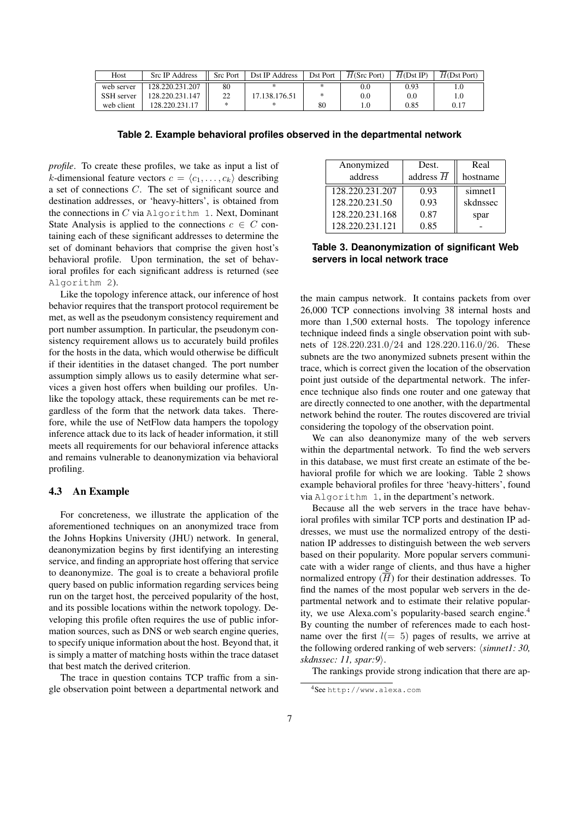| Host       | <b>Src IP Address</b> | <b>Src Port</b> | Dst IP Address | Dst Port | $H(Src$ Port) | H(Dst IP) | $H(Dst$ Port) |
|------------|-----------------------|-----------------|----------------|----------|---------------|-----------|---------------|
| web server | 128.220.231.207       | 80              |                | ж        | 0.0           | 0.93      | L.U           |
| SSH server | 128.220.231.147       | າາ<br>∸         | 17.138.176.51  | *        | 0.0           | $0.0\,$   |               |
| web client | 128.220.231.17        |                 |                | 80       | 1.0           | 0.85      | 0.17          |

**Table 2. Example behavioral profiles observed in the departmental network**

*profile*. To create these profiles, we take as input a list of k-dimensional feature vectors  $c = \langle c_1, \ldots, c_k \rangle$  describing a set of connections C. The set of significant source and destination addresses, or 'heavy-hitters', is obtained from the connections in  $C$  via Algorithm 1. Next, Dominant State Analysis is applied to the connections  $c \in C$  containing each of these significant addresses to determine the set of dominant behaviors that comprise the given host's behavioral profile. Upon termination, the set of behavioral profiles for each significant address is returned (see Algorithm 2).

Like the topology inference attack, our inference of host behavior requires that the transport protocol requirement be met, as well as the pseudonym consistency requirement and port number assumption. In particular, the pseudonym consistency requirement allows us to accurately build profiles for the hosts in the data, which would otherwise be difficult if their identities in the dataset changed. The port number assumption simply allows us to easily determine what services a given host offers when building our profiles. Unlike the topology attack, these requirements can be met regardless of the form that the network data takes. Therefore, while the use of NetFlow data hampers the topology inference attack due to its lack of header information, it still meets all requirements for our behavioral inference attacks and remains vulnerable to deanonymization via behavioral profiling.

#### 4.3 An Example

For concreteness, we illustrate the application of the aforementioned techniques on an anonymized trace from the Johns Hopkins University (JHU) network. In general, deanonymization begins by first identifying an interesting service, and finding an appropriate host offering that service to deanonymize. The goal is to create a behavioral profile query based on public information regarding services being run on the target host, the perceived popularity of the host, and its possible locations within the network topology. Developing this profile often requires the use of public information sources, such as DNS or web search engine queries, to specify unique information about the host. Beyond that, it is simply a matter of matching hosts within the trace dataset that best match the derived criterion.

The trace in question contains TCP traffic from a single observation point between a departmental network and

| Anonymized      | Dest.                  | Real     |
|-----------------|------------------------|----------|
| address         | address $\overline{H}$ | hostname |
| 128.220.231.207 | 0.93                   | simnet1  |
| 128.220.231.50  | 0.93                   | skdnssec |
| 128.220.231.168 | 0.87                   | spar     |
| 128.220.231.121 | 0.85                   |          |

**Table 3. Deanonymization of significant Web servers in local network trace**

the main campus network. It contains packets from over 26,000 TCP connections involving 38 internal hosts and more than 1,500 external hosts. The topology inference technique indeed finds a single observation point with subnets of 128.220.231.0/24 and 128.220.116.0/26. These subnets are the two anonymized subnets present within the trace, which is correct given the location of the observation point just outside of the departmental network. The inference technique also finds one router and one gateway that are directly connected to one another, with the departmental network behind the router. The routes discovered are trivial considering the topology of the observation point.

We can also deanonymize many of the web servers within the departmental network. To find the web servers in this database, we must first create an estimate of the behavioral profile for which we are looking. Table 2 shows example behavioral profiles for three 'heavy-hitters', found via Algorithm 1, in the department's network.

Because all the web servers in the trace have behavioral profiles with similar TCP ports and destination IP addresses, we must use the normalized entropy of the destination IP addresses to distinguish between the web servers based on their popularity. More popular servers communicate with a wider range of clients, and thus have a higher normalized entropy  $(\overline{H})$  for their destination addresses. To find the names of the most popular web servers in the departmental network and to estimate their relative popularity, we use Alexa.com's popularity-based search engine.<sup>4</sup> By counting the number of references made to each hostname over the first  $l(= 5)$  pages of results, we arrive at the following ordered ranking of web servers:  $\langle$ *simnet1: 30, skdnssec: 11, spar:9*).

The rankings provide strong indication that there are ap-

<sup>4</sup>See http://www.alexa.com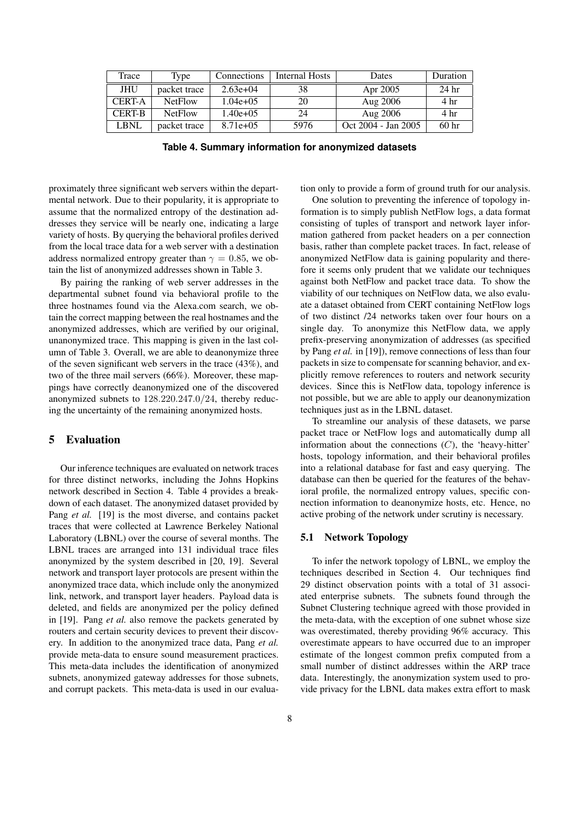| Trace         | 1 <sub>v</sub> pe | Connections | Internal Hosts | Dates               | <b>Duration</b>  |
|---------------|-------------------|-------------|----------------|---------------------|------------------|
| JHU           | packet trace      | $2.63e+04$  | 38             | Apr 2005            | 24 <sub>hr</sub> |
| <b>CERT-A</b> | <b>NetFlow</b>    | $1.04e+0.5$ | 20             | Aug 2006            | 4 hr             |
| <b>CERT-B</b> | <b>NetFlow</b>    | $1.40e+0.5$ | 24             | Aug 2006            | 4 hr             |
| LBNL          | packet trace      | $8.71e+0.5$ | 5976           | Oct 2004 - Jan 2005 | 60 <sub>hr</sub> |

**Table 4. Summary information for anonymized datasets**

proximately three significant web servers within the departmental network. Due to their popularity, it is appropriate to assume that the normalized entropy of the destination addresses they service will be nearly one, indicating a large variety of hosts. By querying the behavioral profiles derived from the local trace data for a web server with a destination address normalized entropy greater than  $\gamma = 0.85$ , we obtain the list of anonymized addresses shown in Table 3.

By pairing the ranking of web server addresses in the departmental subnet found via behavioral profile to the three hostnames found via the Alexa.com search, we obtain the correct mapping between the real hostnames and the anonymized addresses, which are verified by our original, unanonymized trace. This mapping is given in the last column of Table 3. Overall, we are able to deanonymize three of the seven significant web servers in the trace (43%), and two of the three mail servers (66%). Moreover, these mappings have correctly deanonymized one of the discovered anonymized subnets to 128.220.247.0/24, thereby reducing the uncertainty of the remaining anonymized hosts.

## 5 Evaluation

Our inference techniques are evaluated on network traces for three distinct networks, including the Johns Hopkins network described in Section 4. Table 4 provides a breakdown of each dataset. The anonymized dataset provided by Pang *et al.* [19] is the most diverse, and contains packet traces that were collected at Lawrence Berkeley National Laboratory (LBNL) over the course of several months. The LBNL traces are arranged into 131 individual trace files anonymized by the system described in [20, 19]. Several network and transport layer protocols are present within the anonymized trace data, which include only the anonymized link, network, and transport layer headers. Payload data is deleted, and fields are anonymized per the policy defined in [19]. Pang *et al.* also remove the packets generated by routers and certain security devices to prevent their discovery. In addition to the anonymized trace data, Pang *et al.* provide meta-data to ensure sound measurement practices. This meta-data includes the identification of anonymized subnets, anonymized gateway addresses for those subnets, and corrupt packets. This meta-data is used in our evaluation only to provide a form of ground truth for our analysis.

One solution to preventing the inference of topology information is to simply publish NetFlow logs, a data format consisting of tuples of transport and network layer information gathered from packet headers on a per connection basis, rather than complete packet traces. In fact, release of anonymized NetFlow data is gaining popularity and therefore it seems only prudent that we validate our techniques against both NetFlow and packet trace data. To show the viability of our techniques on NetFlow data, we also evaluate a dataset obtained from CERT containing NetFlow logs of two distinct /24 networks taken over four hours on a single day. To anonymize this NetFlow data, we apply prefix-preserving anonymization of addresses (as specified by Pang *et al.* in [19]), remove connections of less than four packets in size to compensate for scanning behavior, and explicitly remove references to routers and network security devices. Since this is NetFlow data, topology inference is not possible, but we are able to apply our deanonymization techniques just as in the LBNL dataset.

To streamline our analysis of these datasets, we parse packet trace or NetFlow logs and automatically dump all information about the connections  $(C)$ , the 'heavy-hitter' hosts, topology information, and their behavioral profiles into a relational database for fast and easy querying. The database can then be queried for the features of the behavioral profile, the normalized entropy values, specific connection information to deanonymize hosts, etc. Hence, no active probing of the network under scrutiny is necessary.

#### 5.1 Network Topology

To infer the network topology of LBNL, we employ the techniques described in Section 4. Our techniques find 29 distinct observation points with a total of 31 associated enterprise subnets. The subnets found through the Subnet Clustering technique agreed with those provided in the meta-data, with the exception of one subnet whose size was overestimated, thereby providing 96% accuracy. This overestimate appears to have occurred due to an improper estimate of the longest common prefix computed from a small number of distinct addresses within the ARP trace data. Interestingly, the anonymization system used to provide privacy for the LBNL data makes extra effort to mask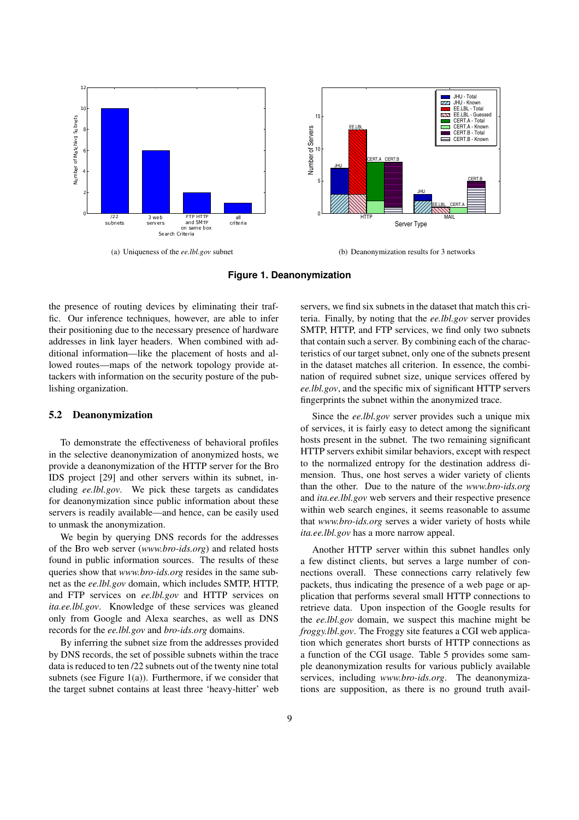

(a) Uniqueness of the *ee.lbl.gov* subnet



(b) Deanonymization results for 3 networks

#### **Figure 1. Deanonymization**

the presence of routing devices by eliminating their traffic. Our inference techniques, however, are able to infer their positioning due to the necessary presence of hardware addresses in link layer headers. When combined with additional information—like the placement of hosts and allowed routes—maps of the network topology provide attackers with information on the security posture of the publishing organization.

#### 5.2 Deanonymization

To demonstrate the effectiveness of behavioral profiles in the selective deanonymization of anonymized hosts, we provide a deanonymization of the HTTP server for the Bro IDS project [29] and other servers within its subnet, including *ee.lbl.gov*. We pick these targets as candidates for deanonymization since public information about these servers is readily available—and hence, can be easily used to unmask the anonymization.

We begin by querying DNS records for the addresses of the Bro web server (*www.bro-ids.org*) and related hosts found in public information sources. The results of these queries show that *www.bro-ids.org* resides in the same subnet as the *ee.lbl.gov* domain, which includes SMTP, HTTP, and FTP services on *ee.lbl.gov* and HTTP services on *ita.ee.lbl.gov*. Knowledge of these services was gleaned only from Google and Alexa searches, as well as DNS records for the *ee.lbl.gov* and *bro-ids.org* domains.

By inferring the subnet size from the addresses provided by DNS records, the set of possible subnets within the trace data is reduced to ten /22 subnets out of the twenty nine total subnets (see Figure 1(a)). Furthermore, if we consider that the target subnet contains at least three 'heavy-hitter' web servers, we find six subnets in the dataset that match this criteria. Finally, by noting that the *ee.lbl.gov* server provides SMTP, HTTP, and FTP services, we find only two subnets that contain such a server. By combining each of the characteristics of our target subnet, only one of the subnets present in the dataset matches all criterion. In essence, the combination of required subnet size, unique services offered by *ee.lbl.gov*, and the specific mix of significant HTTP servers fingerprints the subnet within the anonymized trace.

Since the *ee.lbl.gov* server provides such a unique mix of services, it is fairly easy to detect among the significant hosts present in the subnet. The two remaining significant HTTP servers exhibit similar behaviors, except with respect to the normalized entropy for the destination address dimension. Thus, one host serves a wider variety of clients than the other. Due to the nature of the *www.bro-ids.org* and *ita.ee.lbl.gov* web servers and their respective presence within web search engines, it seems reasonable to assume that *www.bro-ids.org* serves a wider variety of hosts while *ita.ee.lbl.gov* has a more narrow appeal.

Another HTTP server within this subnet handles only a few distinct clients, but serves a large number of connections overall. These connections carry relatively few packets, thus indicating the presence of a web page or application that performs several small HTTP connections to retrieve data. Upon inspection of the Google results for the *ee.lbl.gov* domain, we suspect this machine might be *froggy.lbl.gov*. The Froggy site features a CGI web application which generates short bursts of HTTP connections as a function of the CGI usage. Table 5 provides some sample deanonymization results for various publicly available services, including *www.bro-ids.org*. The deanonymizations are supposition, as there is no ground truth avail-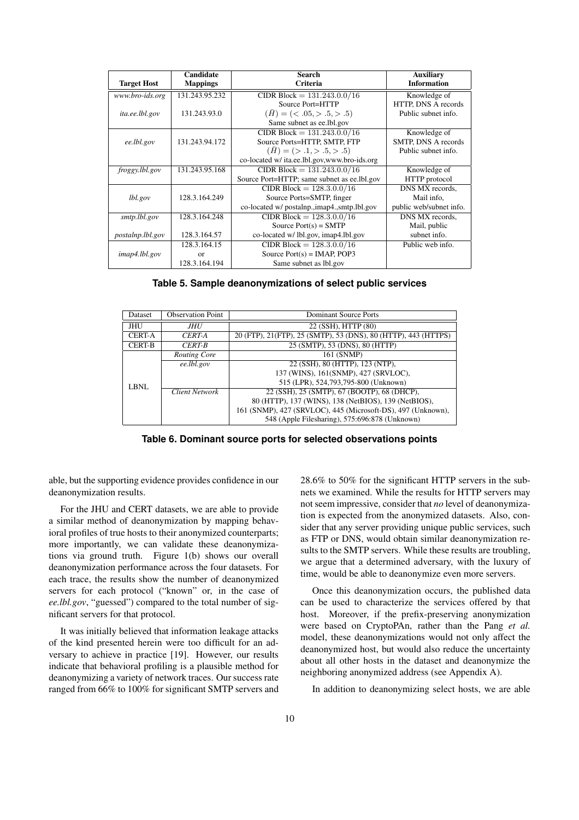|                    | Candidate       | Search                                              | <b>Auxiliary</b>        |
|--------------------|-----------------|-----------------------------------------------------|-------------------------|
| <b>Target Host</b> | <b>Mappings</b> | Criteria                                            | <b>Information</b>      |
| www.bro-ids.org    | 131.243.95.232  | CIDR Block = $131.243.0.0/16$                       | Knowledge of            |
|                    |                 | Source Port=HTTP                                    | HTTP, DNS A records     |
| ita.ee.lbl.gov     | 131.243.93.0    | $(\bar{H}) = \langle \langle .05, >.5, >.5 \rangle$ | Public subnet info.     |
|                    |                 | Same subnet as ee. Ibl.gov                          |                         |
|                    |                 | CIDR Block = $131.243.0.0/16$                       | Knowledge of            |
| ee.lbl.gov         | 131.243.94.172  | Source Ports=HTTP, SMTP, FTP                        | SMTP, DNS A records     |
|                    |                 | $(\bar{H}) = ( > .1, > .5, > .5)$                   | Public subnet info.     |
|                    |                 | co-located w/ ita.ee.lbl.gov,www.bro-ids.org        |                         |
| froggy.lbl.gov     | 131.243.95.168  | CIDR Block = $131.243.0.0/16$                       | Knowledge of            |
|                    |                 | Source Port=HTTP; same subnet as ee.1bl.gov         | HTTP protocol           |
|                    |                 | CIDR Block = $128.3.0.0/16$                         | DNS MX records.         |
| lbl.gov            | 128.3.164.249   | Source Ports=SMTP, finger                           | Mail info.              |
|                    |                 | co-located w/ postalnp., imap4., smtp.lbl.gov       | public web/subnet info. |
| smtp.lbl.gov       | 128.3.164.248   | CIDR Block = $128.3.0.0/16$                         | DNS MX records,         |
|                    |                 | Source $Port(s) = SMTP$                             | Mail, public            |
| postalnp.lbl.gov   | 128.3.164.57    | co-located w/ lbl.gov, imap4.lbl.gov                | subnet info.            |
|                    | 128.3.164.15    | CIDR Block = $128.3.0.0/16$                         | Public web info.        |
| imap4.1bl.gov      | $\alpha$        | Source $Port(s) = IMAP$ , POP3                      |                         |
|                    | 128.3.164.194   | Same subnet as lbl.gov                              |                         |

**Table 5. Sample deanonymizations of select public services**

| Dataset       | <b>Observation Point</b> | <b>Dominant Source Ports</b>                                    |
|---------------|--------------------------|-----------------------------------------------------------------|
| JHU           | JHU                      | 22 (SSH), HTTP (80)                                             |
| <b>CERT-A</b> | CERT-A                   | 20 (FTP), 21 (FTP), 25 (SMTP), 53 (DNS), 80 (HTTP), 443 (HTTPS) |
| <b>CERT-B</b> | <b>CERT-B</b>            | 25 (SMTP), 53 (DNS), 80 (HTTP)                                  |
|               | Routing Core             | 161 (SNMP)                                                      |
| LBNL          | ee.lbl.gov               | 22 (SSH), 80 (HTTP), 123 (NTP),                                 |
|               |                          | 137 (WINS), 161(SNMP), 427 (SRVLOC),                            |
|               |                          | 515 (LPR), 524,793,795-800 (Unknown)                            |
|               | <b>Client Network</b>    | 22 (SSH), 25 (SMTP), 67 (BOOTP), 68 (DHCP),                     |
|               |                          | 80 (HTTP), 137 (WINS), 138 (NetBIOS), 139 (NetBIOS),            |
|               |                          | 161 (SNMP), 427 (SRVLOC), 445 (Microsoft-DS), 497 (Unknown),    |
|               |                          | 548 (Apple Filesharing), 575:696:878 (Unknown)                  |

**Table 6. Dominant source ports for selected observations points**

able, but the supporting evidence provides confidence in our deanonymization results.

For the JHU and CERT datasets, we are able to provide a similar method of deanonymization by mapping behavioral profiles of true hosts to their anonymized counterparts; more importantly, we can validate these deanonymizations via ground truth. Figure 1(b) shows our overall deanonymization performance across the four datasets. For each trace, the results show the number of deanonymized servers for each protocol ("known" or, in the case of *ee.lbl.gov*, "guessed") compared to the total number of significant servers for that protocol.

It was initially believed that information leakage attacks of the kind presented herein were too difficult for an adversary to achieve in practice [19]. However, our results indicate that behavioral profiling is a plausible method for deanonymizing a variety of network traces. Our success rate ranged from 66% to 100% for significant SMTP servers and 28.6% to 50% for the significant HTTP servers in the subnets we examined. While the results for HTTP servers may not seem impressive, consider that *no* level of deanonymization is expected from the anonymized datasets. Also, consider that any server providing unique public services, such as FTP or DNS, would obtain similar deanonymization results to the SMTP servers. While these results are troubling, we argue that a determined adversary, with the luxury of time, would be able to deanonymize even more servers.

Once this deanonymization occurs, the published data can be used to characterize the services offered by that host. Moreover, if the prefix-preserving anonymization were based on CryptoPAn, rather than the Pang *et al.* model, these deanonymizations would not only affect the deanonymized host, but would also reduce the uncertainty about all other hosts in the dataset and deanonymize the neighboring anonymized address (see Appendix A).

In addition to deanonymizing select hosts, we are able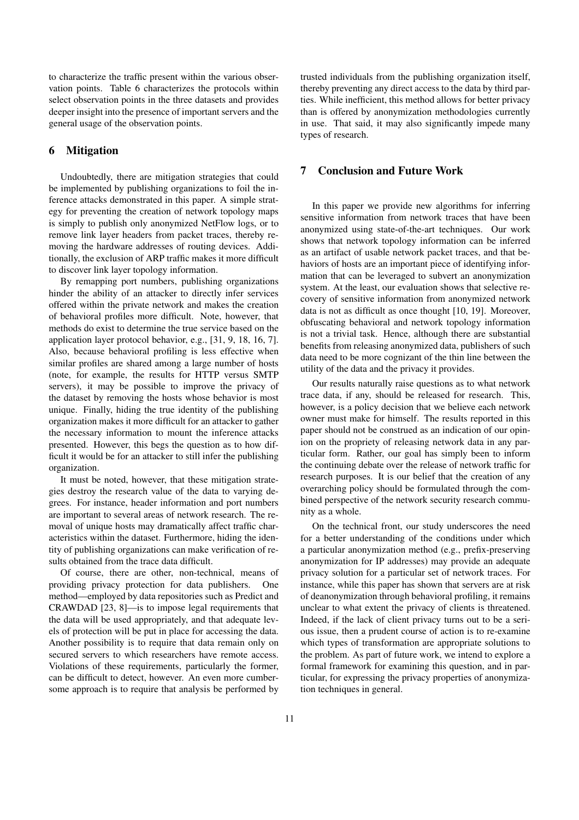to characterize the traffic present within the various observation points. Table 6 characterizes the protocols within select observation points in the three datasets and provides deeper insight into the presence of important servers and the general usage of the observation points.

# 6 Mitigation

Undoubtedly, there are mitigation strategies that could be implemented by publishing organizations to foil the inference attacks demonstrated in this paper. A simple strategy for preventing the creation of network topology maps is simply to publish only anonymized NetFlow logs, or to remove link layer headers from packet traces, thereby removing the hardware addresses of routing devices. Additionally, the exclusion of ARP traffic makes it more difficult to discover link layer topology information.

By remapping port numbers, publishing organizations hinder the ability of an attacker to directly infer services offered within the private network and makes the creation of behavioral profiles more difficult. Note, however, that methods do exist to determine the true service based on the application layer protocol behavior, e.g., [31, 9, 18, 16, 7]. Also, because behavioral profiling is less effective when similar profiles are shared among a large number of hosts (note, for example, the results for HTTP versus SMTP servers), it may be possible to improve the privacy of the dataset by removing the hosts whose behavior is most unique. Finally, hiding the true identity of the publishing organization makes it more difficult for an attacker to gather the necessary information to mount the inference attacks presented. However, this begs the question as to how difficult it would be for an attacker to still infer the publishing organization.

It must be noted, however, that these mitigation strategies destroy the research value of the data to varying degrees. For instance, header information and port numbers are important to several areas of network research. The removal of unique hosts may dramatically affect traffic characteristics within the dataset. Furthermore, hiding the identity of publishing organizations can make verification of results obtained from the trace data difficult.

Of course, there are other, non-technical, means of providing privacy protection for data publishers. One method—employed by data repositories such as Predict and CRAWDAD [23, 8]—is to impose legal requirements that the data will be used appropriately, and that adequate levels of protection will be put in place for accessing the data. Another possibility is to require that data remain only on secured servers to which researchers have remote access. Violations of these requirements, particularly the former, can be difficult to detect, however. An even more cumbersome approach is to require that analysis be performed by trusted individuals from the publishing organization itself, thereby preventing any direct access to the data by third parties. While inefficient, this method allows for better privacy than is offered by anonymization methodologies currently in use. That said, it may also significantly impede many types of research.

# 7 Conclusion and Future Work

In this paper we provide new algorithms for inferring sensitive information from network traces that have been anonymized using state-of-the-art techniques. Our work shows that network topology information can be inferred as an artifact of usable network packet traces, and that behaviors of hosts are an important piece of identifying information that can be leveraged to subvert an anonymization system. At the least, our evaluation shows that selective recovery of sensitive information from anonymized network data is not as difficult as once thought [10, 19]. Moreover, obfuscating behavioral and network topology information is not a trivial task. Hence, although there are substantial benefits from releasing anonymized data, publishers of such data need to be more cognizant of the thin line between the utility of the data and the privacy it provides.

Our results naturally raise questions as to what network trace data, if any, should be released for research. This, however, is a policy decision that we believe each network owner must make for himself. The results reported in this paper should not be construed as an indication of our opinion on the propriety of releasing network data in any particular form. Rather, our goal has simply been to inform the continuing debate over the release of network traffic for research purposes. It is our belief that the creation of any overarching policy should be formulated through the combined perspective of the network security research community as a whole.

On the technical front, our study underscores the need for a better understanding of the conditions under which a particular anonymization method (e.g., prefix-preserving anonymization for IP addresses) may provide an adequate privacy solution for a particular set of network traces. For instance, while this paper has shown that servers are at risk of deanonymization through behavioral profiling, it remains unclear to what extent the privacy of clients is threatened. Indeed, if the lack of client privacy turns out to be a serious issue, then a prudent course of action is to re-examine which types of transformation are appropriate solutions to the problem. As part of future work, we intend to explore a formal framework for examining this question, and in particular, for expressing the privacy properties of anonymization techniques in general.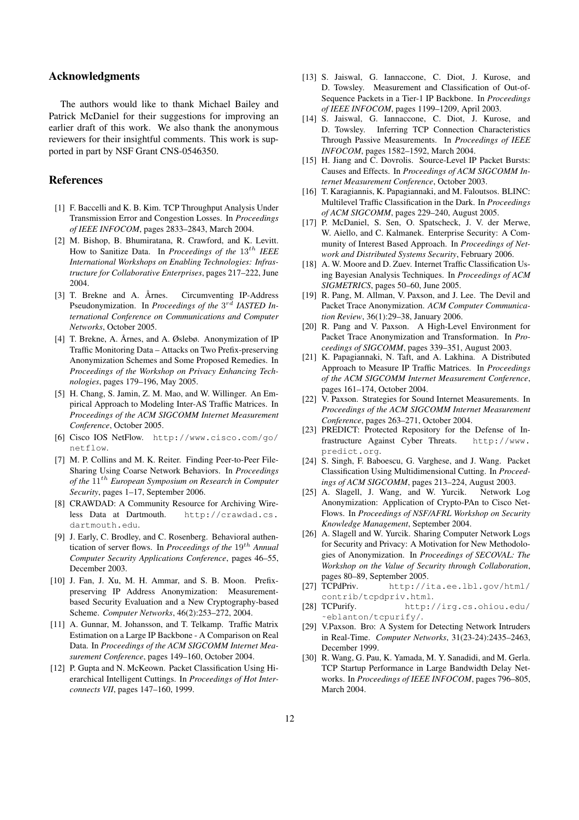# Acknowledgments

The authors would like to thank Michael Bailey and Patrick McDaniel for their suggestions for improving an earlier draft of this work. We also thank the anonymous reviewers for their insightful comments. This work is supported in part by NSF Grant CNS-0546350.

## References

- [1] F. Baccelli and K. B. Kim. TCP Throughput Analysis Under Transmission Error and Congestion Losses. In *Proceedings of IEEE INFOCOM*, pages 2833–2843, March 2004.
- [2] M. Bishop, B. Bhumiratana, R. Crawford, and K. Levitt. How to Sanitize Data. In *Proceedings of the*  $13^{th}$  *IEEE International Workshops on Enabling Technologies: Infrastructure for Collaborative Enterprises*, pages 217–222, June 2004.
- [3] T. Brekne and A. Årnes. Circumventing IP-Address Pseudonymization. In *Proceedings of the*  $3^{rd}$  *IASTED International Conference on Communications and Computer Networks*, October 2005.
- [4] T. Brekne, A. Årnes, and A. Øslebø. Anonymization of IP Traffic Monitoring Data – Attacks on Two Prefix-preserving Anonymization Schemes and Some Proposed Remedies. In *Proceedings of the Workshop on Privacy Enhancing Technologies*, pages 179–196, May 2005.
- [5] H. Chang, S. Jamin, Z. M. Mao, and W. Willinger. An Empirical Approach to Modeling Inter-AS Traffic Matrices. In *Proceedings of the ACM SIGCOMM Internet Measurement Conference*, October 2005.
- [6] Cisco IOS NetFlow. http://www.cisco.com/go/ netflow.
- [7] M. P. Collins and M. K. Reiter. Finding Peer-to-Peer File-Sharing Using Coarse Network Behaviors. In *Proceedings of the* 11th *European Symposium on Research in Computer Security*, pages 1–17, September 2006.
- [8] CRAWDAD: A Community Resource for Archiving Wireless Data at Dartmouth. http://crawdad.cs. dartmouth.edu.
- [9] J. Early, C. Brodley, and C. Rosenberg. Behavioral authentication of server flows. In *Proceedings of the* 19<sup>th</sup> Annual *Computer Security Applications Conference*, pages 46–55, December 2003.
- [10] J. Fan, J. Xu, M. H. Ammar, and S. B. Moon. Prefixpreserving IP Address Anonymization: Measurementbased Security Evaluation and a New Cryptography-based Scheme. *Computer Networks*, 46(2):253–272, 2004.
- [11] A. Gunnar, M. Johansson, and T. Telkamp. Traffic Matrix Estimation on a Large IP Backbone - A Comparison on Real Data. In *Proceedings of the ACM SIGCOMM Internet Measurement Conference*, pages 149–160, October 2004.
- [12] P. Gupta and N. McKeown. Packet Classification Using Hierarchical Intelligent Cuttings. In *Proceedings of Hot Interconnects VII*, pages 147–160, 1999.
- [13] S. Jaiswal, G. Iannaccone, C. Diot, J. Kurose, and D. Towsley. Measurement and Classification of Out-of-Sequence Packets in a Tier-1 IP Backbone. In *Proceedings of IEEE INFOCOM*, pages 1199–1209, April 2003.
- [14] S. Jaiswal, G. Iannaccone, C. Diot, J. Kurose, and D. Towsley. Inferring TCP Connection Characteristics Through Passive Measurements. In *Proceedings of IEEE INFOCOM*, pages 1582–1592, March 2004.
- [15] H. Jiang and C. Dovrolis. Source-Level IP Packet Bursts: Causes and Effects. In *Proceedings of ACM SIGCOMM Internet Measurement Conference*, October 2003.
- [16] T. Karagiannis, K. Papagiannaki, and M. Faloutsos. BLINC: Multilevel Traffic Classification in the Dark. In *Proceedings of ACM SIGCOMM*, pages 229–240, August 2005.
- [17] P. McDaniel, S. Sen, O. Spatscheck, J. V. der Merwe, W. Aiello, and C. Kalmanek. Enterprise Security: A Community of Interest Based Approach. In *Proceedings of Network and Distributed Systems Security*, February 2006.
- [18] A. W. Moore and D. Zuev. Internet Traffic Classification Using Bayesian Analysis Techniques. In *Proceedings of ACM SIGMETRICS*, pages 50–60, June 2005.
- [19] R. Pang, M. Allman, V. Paxson, and J. Lee. The Devil and Packet Trace Anonymization. *ACM Computer Communication Review*, 36(1):29–38, January 2006.
- [20] R. Pang and V. Paxson. A High-Level Environment for Packet Trace Anonymization and Transformation. In *Proceedings of SIGCOMM*, pages 339–351, August 2003.
- [21] K. Papagiannaki, N. Taft, and A. Lakhina. A Distributed Approach to Measure IP Traffic Matrices. In *Proceedings of the ACM SIGCOMM Internet Measurement Conference*, pages 161–174, October 2004.
- [22] V. Paxson. Strategies for Sound Internet Measurements. In *Proceedings of the ACM SIGCOMM Internet Measurement Conference*, pages 263–271, October 2004.
- [23] PREDICT: Protected Repository for the Defense of Infrastructure Against Cyber Threats. http://www. predict.org.
- [24] S. Singh, F. Baboescu, G. Varghese, and J. Wang. Packet Classification Using Multidimensional Cutting. In *Proceedings of ACM SIGCOMM*, pages 213–224, August 2003.
- [25] A. Slagell, J. Wang, and W. Yurcik. Network Log Anonymization: Application of Crypto-PAn to Cisco Net-Flows. In *Proceedings of NSF/AFRL Workshop on Security Knowledge Management*, September 2004.
- [26] A. Slagell and W. Yurcik. Sharing Computer Network Logs for Security and Privacy: A Motivation for New Methodologies of Anonymization. In *Proceedings of SECOVAL: The Workshop on the Value of Security through Collaboration*, pages 80–89, September 2005.
- [27] TCPdPriv. http://ita.ee.lbl.gov/html/ contrib/tcpdpriv.html.
- [28] TCPurify. http://irg.cs.ohiou.edu/ eblanton/tcpurify/.
- [29] V.Paxson. Bro: A System for Detecting Network Intruders in Real-Time. *Computer Networks*, 31(23-24):2435–2463, December 1999.
- [30] R. Wang, G. Pau, K. Yamada, M. Y. Sanadidi, and M. Gerla. TCP Startup Performance in Large Bandwidth Delay Networks. In *Proceedings of IEEE INFOCOM*, pages 796–805, March 2004.